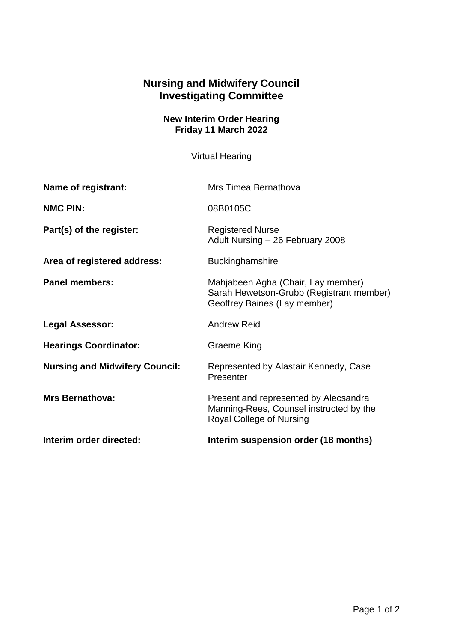## **Nursing and Midwifery Council Investigating Committee**

## **New Interim Order Hearing Friday 11 March 2022**

Virtual Hearing

| Name of registrant:                   | Mrs Timea Bernathova                                                                                           |
|---------------------------------------|----------------------------------------------------------------------------------------------------------------|
| <b>NMC PIN:</b>                       | 08B0105C                                                                                                       |
| Part(s) of the register:              | <b>Registered Nurse</b><br>Adult Nursing - 26 February 2008                                                    |
| Area of registered address:           | <b>Buckinghamshire</b>                                                                                         |
| <b>Panel members:</b>                 | Mahjabeen Agha (Chair, Lay member)<br>Sarah Hewetson-Grubb (Registrant member)<br>Geoffrey Baines (Lay member) |
| <b>Legal Assessor:</b>                | <b>Andrew Reid</b>                                                                                             |
| <b>Hearings Coordinator:</b>          | Graeme King                                                                                                    |
| <b>Nursing and Midwifery Council:</b> | Represented by Alastair Kennedy, Case<br>Presenter                                                             |
| <b>Mrs Bernathova:</b>                | Present and represented by Alecsandra<br>Manning-Rees, Counsel instructed by the<br>Royal College of Nursing   |
| Interim order directed:               | Interim suspension order (18 months)                                                                           |